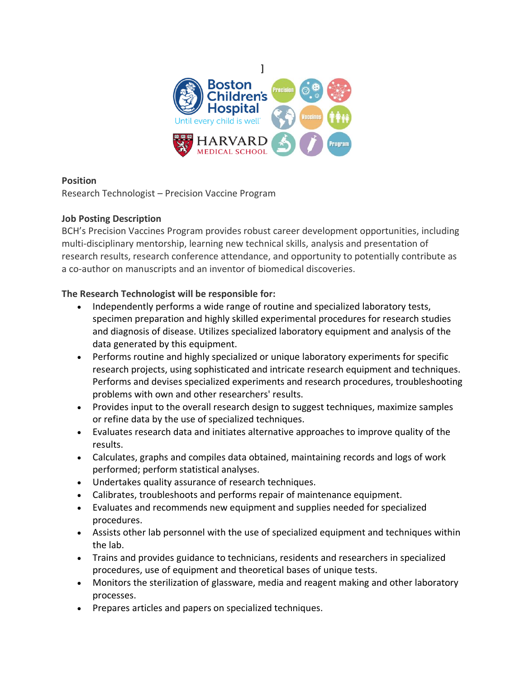

### **Position**

Research Technologist – Precision Vaccine Program

# **Job Posting Description**

BCH's Precision Vaccines Program provides robust career development opportunities, including multi-disciplinary mentorship, learning new technical skills, analysis and presentation of research results, research conference attendance, and opportunity to potentially contribute as a co-author on manuscripts and an inventor of biomedical discoveries.

# **The Research Technologist will be responsible for:**

- Independently performs a wide range of routine and specialized laboratory tests, specimen preparation and highly skilled experimental procedures for research studies and diagnosis of disease. Utilizes specialized laboratory equipment and analysis of the data generated by this equipment.
- Performs routine and highly specialized or unique laboratory experiments for specific research projects, using sophisticated and intricate research equipment and techniques. Performs and devises specialized experiments and research procedures, troubleshooting problems with own and other researchers' results.
- Provides input to the overall research design to suggest techniques, maximize samples or refine data by the use of specialized techniques.
- Evaluates research data and initiates alternative approaches to improve quality of the results.
- Calculates, graphs and compiles data obtained, maintaining records and logs of work performed; perform statistical analyses.
- Undertakes quality assurance of research techniques.
- Calibrates, troubleshoots and performs repair of maintenance equipment.
- Evaluates and recommends new equipment and supplies needed for specialized procedures.
- Assists other lab personnel with the use of specialized equipment and techniques within the lab.
- Trains and provides guidance to technicians, residents and researchers in specialized procedures, use of equipment and theoretical bases of unique tests.
- Monitors the sterilization of glassware, media and reagent making and other laboratory processes.
- Prepares articles and papers on specialized techniques.